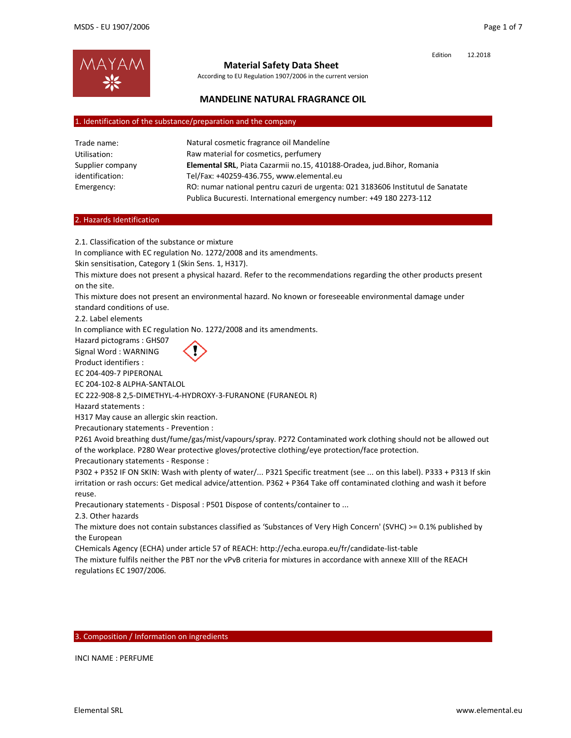

## **Material Safety Data Sheet**

According to EU Regulation 1907/2006 in the current version

### **MANDELINE NATURAL FRAGRANCE OIL**

#### 1. Identification of the substance/preparation and the company

| Trade name:      | Natural cosmetic fragrance oil Mandeline                                        |  |
|------------------|---------------------------------------------------------------------------------|--|
| Utilisation:     | Raw material for cosmetics, perfumery                                           |  |
| Supplier company | Elemental SRL, Piata Cazarmii no.15, 410188-Oradea, jud.Bihor, Romania          |  |
| identification:  | Tel/Fax: +40259-436.755, www.elemental.eu                                       |  |
| Emergency:       | RO: numar national pentru cazuri de urgenta: 021 3183606 Institutul de Sanatate |  |
|                  | Publica Bucuresti. International emergency number: +49 180 2273-112             |  |

#### 2. Hazards Identification

2.1. Classification of the substance or mixture

In compliance with EC regulation No. 1272/2008 and its amendments.

Skin sensitisation, Category 1 (Skin Sens. 1, H317).

This mixture does not present a physical hazard. Refer to the recommendations regarding the other products present on the site.

This mixture does not present an environmental hazard. No known or foreseeable environmental damage under standard conditions of use.

2.2. Label elements

In compliance with EC regulation No. 1272/2008 and its amendments.

Hazard pictograms : GHS07

Signal Word : WARNING

Product identifiers : EC 204‐409‐7 PIPERONAL

EC 204‐102‐8 ALPHA‐SANTALOL

EC 222‐908‐8 2,5‐DIMETHYL‐4‐HYDROXY‐3‐FURANONE (FURANEOL R)

Hazard statements :

H317 May cause an allergic skin reaction.

Precautionary statements ‐ Prevention :

P261 Avoid breathing dust/fume/gas/mist/vapours/spray. P272 Contaminated work clothing should not be allowed out of the workplace. P280 Wear protective gloves/protective clothing/eye protection/face protection.

Precautionary statements ‐ Response :

P302 + P352 IF ON SKIN: Wash with plenty of water/... P321 Specific treatment (see ... on this label). P333 + P313 If skin irritation or rash occurs: Get medical advice/attention. P362 + P364 Take off contaminated clothing and wash it before reuse.

Precautionary statements ‐ Disposal : P501 Dispose of contents/container to ...

2.3. Other hazards

The mixture does not contain substances classified as 'Substances of Very High Concern' (SVHC) >= 0.1% published by the European

CHemicals Agency (ECHA) under article 57 of REACH: http://echa.europa.eu/fr/candidate‐list‐table The mixture fulfils neither the PBT nor the vPvB criteria for mixtures in accordance with annexe XIII of the REACH regulations EC 1907/2006.

#### 3. Composition / Information on ingredients

INCI NAME : PERFUME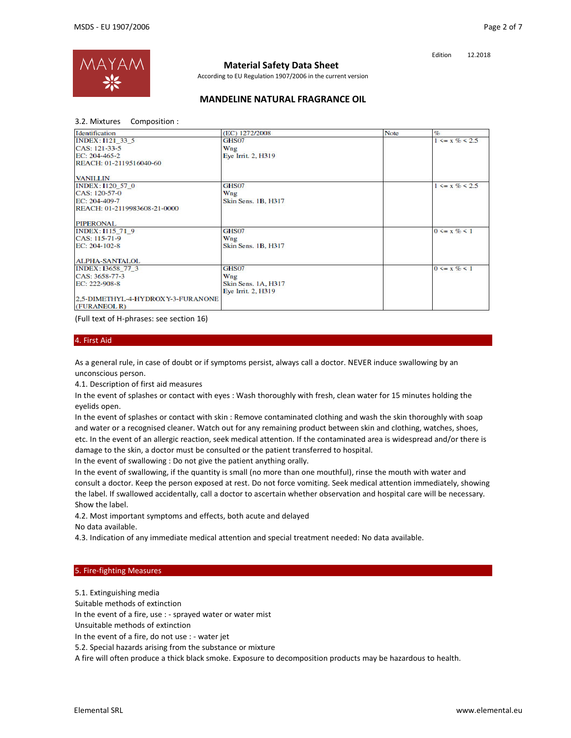

# **Material Safety Data Sheet**

According to EU Regulation 1907/2006 in the current version

### **MANDELINE NATURAL FRAGRANCE OIL**

3.2. Mixtures Composition :

| Identification                                    | (EC) 1272/2008             | <b>Note</b> | $\%$                 |
|---------------------------------------------------|----------------------------|-------------|----------------------|
| INDEX: I121 33 5                                  | GHS07                      |             | $1 \le x \% \le 2.5$ |
| CAS: 121-33-5                                     | Wng                        |             |                      |
| EC: 204-465-2                                     | Eye Irrit. 2, H319         |             |                      |
| REACH: 01-2119516040-60                           |                            |             |                      |
| <b>VANILLIN</b>                                   |                            |             |                      |
| <b>INDEX: I120 57 0</b>                           | GHS07                      |             | $1 \le x \% \le 2.5$ |
| CAS: 120-57-0                                     | Wng                        |             |                      |
| EC: 204-409-7                                     | <b>Skin Sens. 1B, H317</b> |             |                      |
| REACH: 01-2119983608-21-0000                      |                            |             |                      |
| <b>PIPERONAL</b>                                  |                            |             |                      |
| INDEX: I115 71 9                                  | GHS07                      |             | $0 \leq x \% \leq 1$ |
| CAS: 115-71-9                                     | Wng                        |             |                      |
| EC: 204-102-8                                     | <b>Skin Sens. 1B, H317</b> |             |                      |
| <b>ALPHA-SANTALOL</b>                             |                            |             |                      |
| INDEX: I3658 77 3                                 | GHS07                      |             | $0 \le x \% \le 1$   |
| CAS: 3658-77-3                                    | Wng                        |             |                      |
| EC: 222-908-8                                     | <b>Skin Sens. 1A, H317</b> |             |                      |
|                                                   | Eye Irrit. 2, H319         |             |                      |
| 2.5-DIMETHYL-4-HYDROXY-3-FURANONE<br>(FURANEOL R) |                            |             |                      |

(Full text of H‐phrases: see section 16)

#### 4. First Aid

As a general rule, in case of doubt or if symptoms persist, always call a doctor. NEVER induce swallowing by an unconscious person.

4.1. Description of first aid measures

In the event of splashes or contact with eyes : Wash thoroughly with fresh, clean water for 15 minutes holding the eyelids open.

In the event of splashes or contact with skin : Remove contaminated clothing and wash the skin thoroughly with soap and water or a recognised cleaner. Watch out for any remaining product between skin and clothing, watches, shoes, etc. In the event of an allergic reaction, seek medical attention. If the contaminated area is widespread and/or there is damage to the skin, a doctor must be consulted or the patient transferred to hospital.

In the event of swallowing : Do not give the patient anything orally.

In the event of swallowing, if the quantity is small (no more than one mouthful), rinse the mouth with water and consult a doctor. Keep the person exposed at rest. Do not force vomiting. Seek medical attention immediately, showing the label. If swallowed accidentally, call a doctor to ascertain whether observation and hospital care will be necessary. Show the label.

4.2. Most important symptoms and effects, both acute and delayed

No data available.

4.3. Indication of any immediate medical attention and special treatment needed: No data available.

#### 5. Fire‐fighting Measures

5.1. Extinguishing media

Suitable methods of extinction

In the event of a fire, use : ‐ sprayed water or water mist

Unsuitable methods of extinction

In the event of a fire, do not use : ‐ water jet

5.2. Special hazards arising from the substance or mixture

A fire will often produce a thick black smoke. Exposure to decomposition products may be hazardous to health.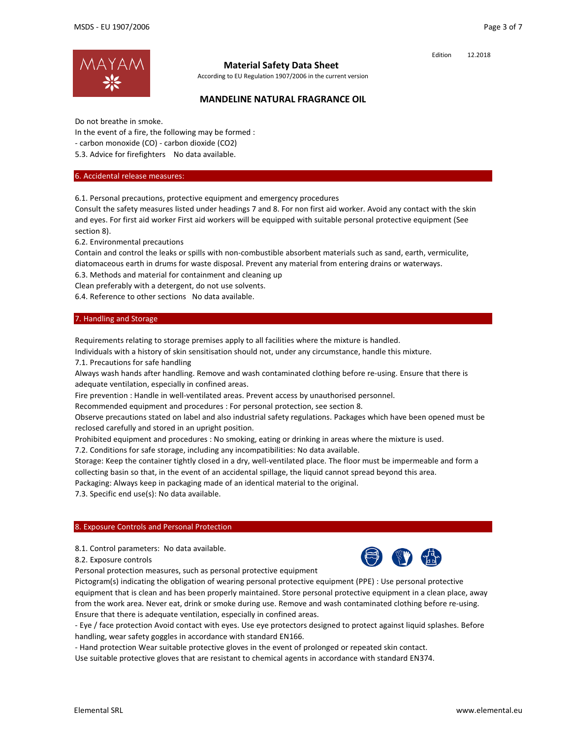

## **Material Safety Data Sheet**

According to EU Regulation 1907/2006 in the current version

## **MANDELINE NATURAL FRAGRANCE OIL**

Do not breathe in smoke.

In the event of a fire, the following may be formed :

‐ carbon monoxide (CO) ‐ carbon dioxide (CO2)

5.3. Advice for firefighters No data available.

### 6. Accidental release measures:

6.1. Personal precautions, protective equipment and emergency procedures

Consult the safety measures listed under headings 7 and 8. For non first aid worker. Avoid any contact with the skin and eyes. For first aid worker First aid workers will be equipped with suitable personal protective equipment (See section 8).

6.2. Environmental precautions

Contain and control the leaks or spills with non‐combustible absorbent materials such as sand, earth, vermiculite, diatomaceous earth in drums for waste disposal. Prevent any material from entering drains or waterways.

6.3. Methods and material for containment and cleaning up

Clean preferably with a detergent, do not use solvents.

6.4. Reference to other sections No data available.

### 7. Handling and Storage

Requirements relating to storage premises apply to all facilities where the mixture is handled.

Individuals with a history of skin sensitisation should not, under any circumstance, handle this mixture.

7.1. Precautions for safe handling

Always wash hands after handling. Remove and wash contaminated clothing before re‐using. Ensure that there is adequate ventilation, especially in confined areas.

Fire prevention : Handle in well-ventilated areas. Prevent access by unauthorised personnel.

Recommended equipment and procedures : For personal protection, see section 8.

Observe precautions stated on label and also industrial safety regulations. Packages which have been opened must be reclosed carefully and stored in an upright position.

Prohibited equipment and procedures : No smoking, eating or drinking in areas where the mixture is used.

7.2. Conditions for safe storage, including any incompatibilities: No data available.

Storage: Keep the container tightly closed in a dry, well‐ventilated place. The floor must be impermeable and form a collecting basin so that, in the event of an accidental spillage, the liquid cannot spread beyond this area.

Packaging: Always keep in packaging made of an identical material to the original.

7.3. Specific end use(s): No data available.

### 8. Exposure Controls and Personal Protection

8.1. Control parameters: No data available.

8.2. Exposure controls

Personal protection measures, such as personal protective equipment

Pictogram(s) indicating the obligation of wearing personal protective equipment (PPE) : Use personal protective equipment that is clean and has been properly maintained. Store personal protective equipment in a clean place, away from the work area. Never eat, drink or smoke during use. Remove and wash contaminated clothing before re‐using. Ensure that there is adequate ventilation, especially in confined areas.

‐ Eye / face protection Avoid contact with eyes. Use eye protectors designed to protect against liquid splashes. Before handling, wear safety goggles in accordance with standard EN166.

‐ Hand protection Wear suitable protective gloves in the event of prolonged or repeated skin contact.

Use suitable protective gloves that are resistant to chemical agents in accordance with standard EN374.



Edition 12.2018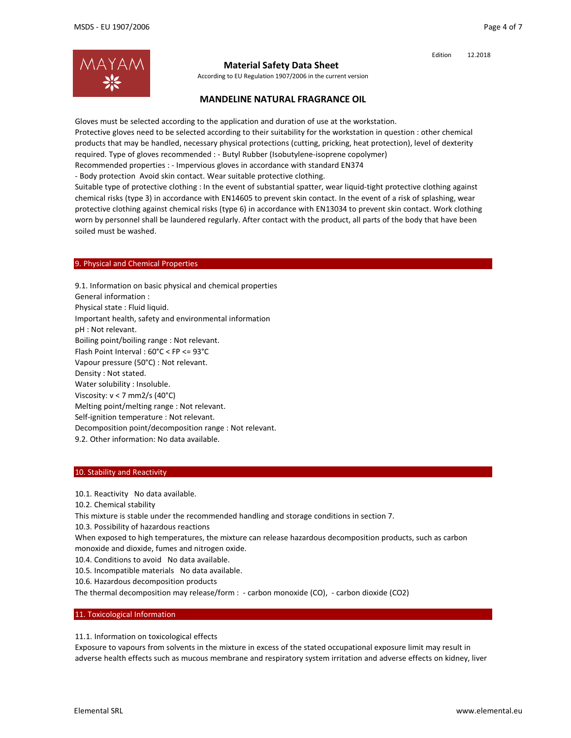

### **Material Safety Data Sheet**

According to EU Regulation 1907/2006 in the current version

### **MANDELINE NATURAL FRAGRANCE OIL**

Gloves must be selected according to the application and duration of use at the workstation. Protective gloves need to be selected according to their suitability for the workstation in question : other chemical products that may be handled, necessary physical protections (cutting, pricking, heat protection), level of dexterity required. Type of gloves recommended : ‐ Butyl Rubber (Isobutylene‐isoprene copolymer) Recommended properties : ‐ Impervious gloves in accordance with standard EN374

‐ Body protection Avoid skin contact. Wear suitable protective clothing.

Suitable type of protective clothing : In the event of substantial spatter, wear liquid‐tight protective clothing against chemical risks (type 3) in accordance with EN14605 to prevent skin contact. In the event of a risk of splashing, wear protective clothing against chemical risks (type 6) in accordance with EN13034 to prevent skin contact. Work clothing worn by personnel shall be laundered regularly. After contact with the product, all parts of the body that have been soiled must be washed.

#### 9. Physical and Chemical Properties

9.1. Information on basic physical and chemical properties General information : Physical state : Fluid liquid. Important health, safety and environmental information pH : Not relevant. Boiling point/boiling range : Not relevant. Flash Point Interval : 60°C < FP <= 93°C Vapour pressure (50°C) : Not relevant. Density : Not stated. Water solubility : Insoluble. Viscosity: v < 7 mm2/s (40°C) Melting point/melting range : Not relevant. Self‐ignition temperature : Not relevant. Decomposition point/decomposition range : Not relevant. 9.2. Other information: No data available.

#### 10. Stability and Reactivity

10.1. Reactivity No data available.

10.2. Chemical stability

This mixture is stable under the recommended handling and storage conditions in section 7.

10.3. Possibility of hazardous reactions

When exposed to high temperatures, the mixture can release hazardous decomposition products, such as carbon monoxide and dioxide, fumes and nitrogen oxide.

10.4. Conditions to avoid No data available.

10.5. Incompatible materials No data available.

10.6. Hazardous decomposition products

The thermal decomposition may release/form : - carbon monoxide (CO), - carbon dioxide (CO2)

#### 11. Toxicological Information

11.1. Information on toxicological effects

Exposure to vapours from solvents in the mixture in excess of the stated occupational exposure limit may result in adverse health effects such as mucous membrane and respiratory system irritation and adverse effects on kidney, liver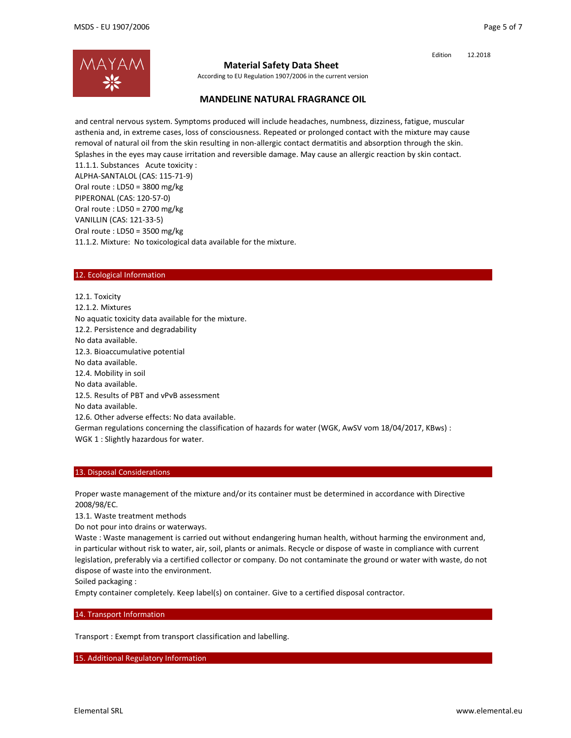

## **Material Safety Data Sheet**

According to EU Regulation 1907/2006 in the current version

## **MANDELINE NATURAL FRAGRANCE OIL**

and central nervous system. Symptoms produced will include headaches, numbness, dizziness, fatigue, muscular asthenia and, in extreme cases, loss of consciousness. Repeated or prolonged contact with the mixture may cause removal of natural oil from the skin resulting in non‐allergic contact dermatitis and absorption through the skin. Splashes in the eyes may cause irritation and reversible damage. May cause an allergic reaction by skin contact. 11.1.1. Substances Acute toxicity : ALPHA‐SANTALOL (CAS: 115‐71‐9) Oral route : LD50 = 3800 mg/kg PIPERONAL (CAS: 120‐57‐0) Oral route : LD50 = 2700 mg/kg VANILLIN (CAS: 121‐33‐5) Oral route : LD50 = 3500 mg/kg 11.1.2. Mixture: No toxicological data available for the mixture.

### 12. Ecological Information

12.1. Toxicity 12.1.2. Mixtures No aquatic toxicity data available for the mixture. 12.2. Persistence and degradability No data available. 12.3. Bioaccumulative potential No data available. 12.4. Mobility in soil No data available. 12.5. Results of PBT and vPvB assessment No data available. 12.6. Other adverse effects: No data available. German regulations concerning the classification of hazards for water (WGK, AwSV vom 18/04/2017, KBws) : WGK 1 : Slightly hazardous for water.

### 13. Disposal Considerations

Proper waste management of the mixture and/or its container must be determined in accordance with Directive 2008/98/EC.

13.1. Waste treatment methods

Do not pour into drains or waterways.

Waste : Waste management is carried out without endangering human health, without harming the environment and, in particular without risk to water, air, soil, plants or animals. Recycle or dispose of waste in compliance with current legislation, preferably via a certified collector or company. Do not contaminate the ground or water with waste, do not dispose of waste into the environment.

Soiled packaging :

Empty container completely. Keep label(s) on container. Give to a certified disposal contractor.

#### 14. Transport Information

Transport : Exempt from transport classification and labelling.

15. Additional Regulatory Information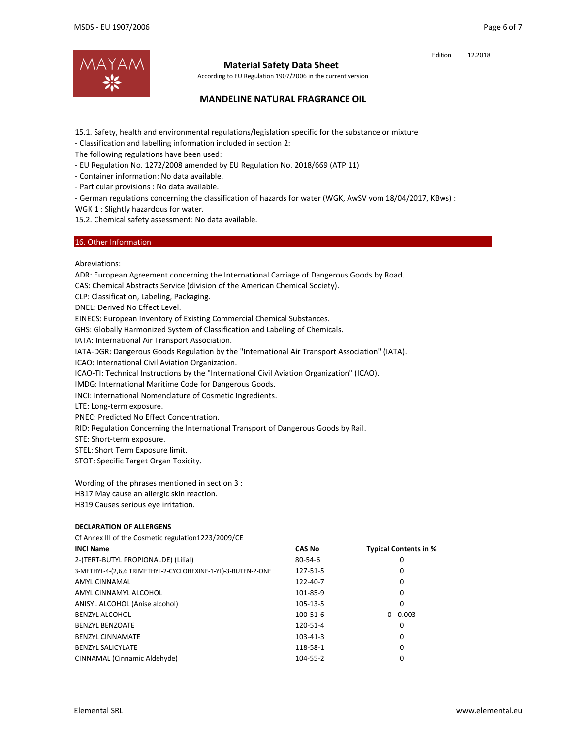

### **Material Safety Data Sheet**

According to EU Regulation 1907/2006 in the current version

## **MANDELINE NATURAL FRAGRANCE OIL**

15.1. Safety, health and environmental regulations/legislation specific for the substance or mixture

‐ Classification and labelling information included in section 2:

The following regulations have been used:

- ‐ EU Regulation No. 1272/2008 amended by EU Regulation No. 2018/669 (ATP 11)
- ‐ Container information: No data available.
- ‐ Particular provisions : No data available.
- ‐ German regulations concerning the classification of hazards for water (WGK, AwSV vom 18/04/2017, KBws) :
- WGK 1 : Slightly hazardous for water.

15.2. Chemical safety assessment: No data available.

### 16. Other Information

Abreviations:

ADR: European Agreement concerning the International Carriage of Dangerous Goods by Road.

CAS: Chemical Abstracts Service (division of the American Chemical Society).

CLP: Classification, Labeling, Packaging.

DNEL: Derived No Effect Level.

EINECS: European Inventory of Existing Commercial Chemical Substances.

GHS: Globally Harmonized System of Classification and Labeling of Chemicals.

IATA: International Air Transport Association.

IATA‐DGR: Dangerous Goods Regulation by the "International Air Transport Association" (IATA).

ICAO: International Civil Aviation Organization.

ICAO-TI: Technical Instructions by the "International Civil Aviation Organization" (ICAO).

IMDG: International Maritime Code for Dangerous Goods.

INCI: International Nomenclature of Cosmetic Ingredients.

LTE: Long‐term exposure.

PNEC: Predicted No Effect Concentration.

RID: Regulation Concerning the International Transport of Dangerous Goods by Rail.

STE: Short‐term exposure.

STEL: Short Term Exposure limit.

STOT: Specific Target Organ Toxicity.

Wording of the phrases mentioned in section 3 : H317 May cause an allergic skin reaction. H319 Causes serious eye irritation.

#### **DECLARATION OF ALLERGENS**

Cf Annex III of the Cosmetic regulation1223/2009/CE

| <b>INCI Name</b>                                              | <b>CAS No</b>  | <b>Typical Contents in %</b> |
|---------------------------------------------------------------|----------------|------------------------------|
| 2-(TERT-BUTYL PROPIONALDE) (Lilial)                           | $80 - 54 - 6$  | 0                            |
| 3-METHYL-4-(2,6,6 TRIMETHYL-2-CYCLOHEXINE-1-YL)-3-BUTEN-2-ONE | 127-51-5       | 0                            |
| AMYL CINNAMAL                                                 | 122-40-7       | 0                            |
| AMYL CINNAMYL ALCOHOL                                         | 101-85-9       | 0                            |
| ANISYL ALCOHOL (Anise alcohol)                                | 105-13-5       | 0                            |
| <b>BENZYL ALCOHOL</b>                                         | 100-51-6       | $0 - 0.003$                  |
| <b>BENZYL BENZOATE</b>                                        | 120-51-4       | 0                            |
| <b>BENZYL CINNAMATE</b>                                       | $103 - 41 - 3$ | 0                            |
| <b>BENZYL SALICYLATE</b>                                      | 118-58-1       | 0                            |
| CINNAMAL (Cinnamic Aldehyde)                                  | 104-55-2       | 0                            |